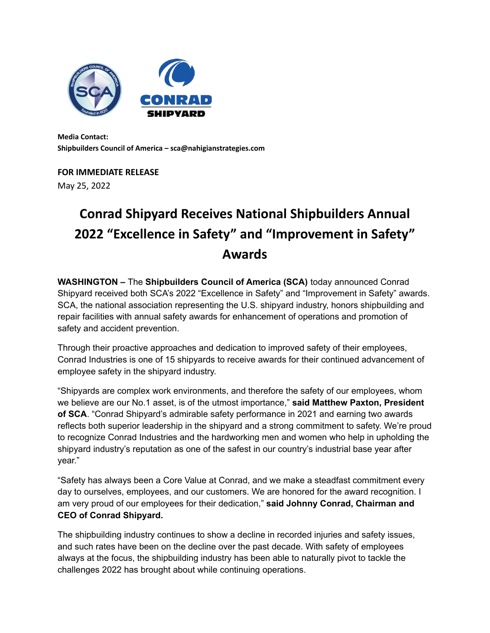

**Media Contact: Shipbuilders Council of America – sca@nahigianstrategies.com**

## **FOR IMMEDIATE RELEASE**

May 25, 2022

## **Conrad Shipyard Receives National Shipbuilders Annual 2022 "Excellence in Safety" and "Improvement in Safety" Awards**

**WASHINGTON –** The **Shipbuilders Council of America (SCA)** today announced Conrad Shipyard received both SCA's 2022 "Excellence in Safety" and "Improvement in Safety" awards. SCA, the national association representing the U.S. shipyard industry, honors shipbuilding and repair facilities with annual safety awards for enhancement of operations and promotion of safety and accident prevention.

Through their proactive approaches and dedication to improved safety of their employees, Conrad Industries is one of 15 shipyards to receive awards for their continued advancement of employee safety in the shipyard industry.

"Shipyards are complex work environments, and therefore the safety of our employees, whom we believe are our No.1 asset, is of the utmost importance," **said Matthew Paxton, President of SCA**. "Conrad Shipyard's admirable safety performance in 2021 and earning two awards reflects both superior leadership in the shipyard and a strong commitment to safety. We're proud to recognize Conrad Industries and the hardworking men and women who help in upholding the shipyard industry's reputation as one of the safest in our country's industrial base year after year."

"Safety has always been a Core Value at Conrad, and we make a steadfast commitment every day to ourselves, employees, and our customers. We are honored for the award recognition. I am very proud of our employees for their dedication," **said Johnny Conrad, Chairman and CEO of Conrad Shipyard.**

The shipbuilding industry continues to show a decline in recorded injuries and safety issues, and such rates have been on the decline over the past decade. With safety of employees always at the focus, the shipbuilding industry has been able to naturally pivot to tackle the challenges 2022 has brought about while continuing operations.